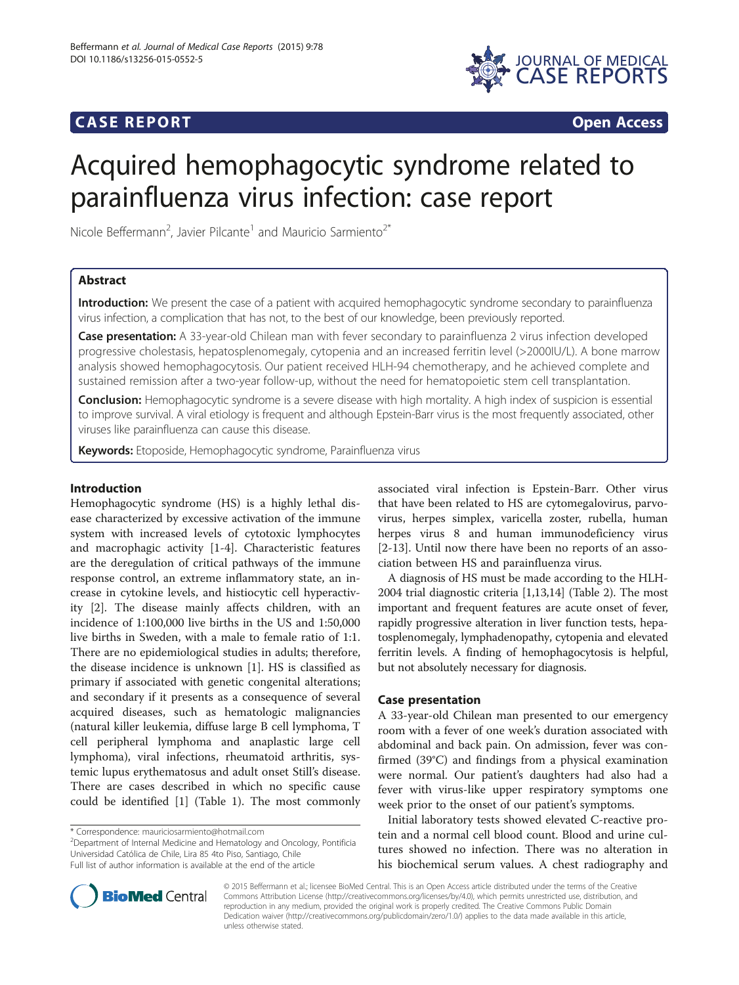## **CASE REPORT CASE REPORT**



# Acquired hemophagocytic syndrome related to parainfluenza virus infection: case report

Nicole Beffermann<sup>2</sup>, Javier Pilcante<sup>1</sup> and Mauricio Sarmiento<sup>2\*</sup>

## Abstract

Introduction: We present the case of a patient with acquired hemophagocytic syndrome secondary to parainfluenza virus infection, a complication that has not, to the best of our knowledge, been previously reported.

Case presentation: A 33-year-old Chilean man with fever secondary to parainfluenza 2 virus infection developed progressive cholestasis, hepatosplenomegaly, cytopenia and an increased ferritin level (>2000IU/L). A bone marrow analysis showed hemophagocytosis. Our patient received HLH-94 chemotherapy, and he achieved complete and sustained remission after a two-year follow-up, without the need for hematopoietic stem cell transplantation.

**Conclusion:** Hemophagocytic syndrome is a severe disease with high mortality. A high index of suspicion is essential to improve survival. A viral etiology is frequent and although Epstein-Barr virus is the most frequently associated, other viruses like parainfluenza can cause this disease.

Keywords: Etoposide, Hemophagocytic syndrome, Parainfluenza virus

## Introduction

Hemophagocytic syndrome (HS) is a highly lethal disease characterized by excessive activation of the immune system with increased levels of cytotoxic lymphocytes and macrophagic activity [[1](#page-3-0)-[4\]](#page-3-0). Characteristic features are the deregulation of critical pathways of the immune response control, an extreme inflammatory state, an increase in cytokine levels, and histiocytic cell hyperactivity [\[2\]](#page-3-0). The disease mainly affects children, with an incidence of 1:100,000 live births in the US and 1:50,000 live births in Sweden, with a male to female ratio of 1:1. There are no epidemiological studies in adults; therefore, the disease incidence is unknown [\[1](#page-3-0)]. HS is classified as primary if associated with genetic congenital alterations; and secondary if it presents as a consequence of several acquired diseases, such as hematologic malignancies (natural killer leukemia, diffuse large B cell lymphoma, T cell peripheral lymphoma and anaplastic large cell lymphoma), viral infections, rheumatoid arthritis, systemic lupus erythematosus and adult onset Still's disease. There are cases described in which no specific cause could be identified [\[1](#page-3-0)] (Table [1\)](#page-1-0). The most commonly

<sup>2</sup>Department of Internal Medicine and Hematology and Oncology, Pontificia Universidad Católica de Chile, Lira 85 4to Piso, Santiago, Chile Full list of author information is available at the end of the article

associated viral infection is Epstein-Barr. Other virus that have been related to HS are cytomegalovirus, parvovirus, herpes simplex, varicella zoster, rubella, human herpes virus 8 and human immunodeficiency virus [[2](#page-3-0)[-13](#page-4-0)]. Until now there have been no reports of an association between HS and parainfluenza virus.

A diagnosis of HS must be made according to the HLH-2004 trial diagnostic criteria [\[1](#page-3-0)[,13,14](#page-4-0)] (Table [2](#page-1-0)). The most important and frequent features are acute onset of fever, rapidly progressive alteration in liver function tests, hepatosplenomegaly, lymphadenopathy, cytopenia and elevated ferritin levels. A finding of hemophagocytosis is helpful, but not absolutely necessary for diagnosis.

## Case presentation

A 33-year-old Chilean man presented to our emergency room with a fever of one week's duration associated with abdominal and back pain. On admission, fever was confirmed (39°C) and findings from a physical examination were normal. Our patient's daughters had also had a fever with virus-like upper respiratory symptoms one week prior to the onset of our patient's symptoms.

Initial laboratory tests showed elevated C-reactive protein and a normal cell blood count. Blood and urine cultures showed no infection. There was no alteration in his biochemical serum values. A chest radiography and



© 2015 Beffermann et al.; licensee BioMed Central. This is an Open Access article distributed under the terms of the Creative Commons Attribution License [\(http://creativecommons.org/licenses/by/4.0\)](http://creativecommons.org/licenses/by/4.0), which permits unrestricted use, distribution, and reproduction in any medium, provided the original work is properly credited. The Creative Commons Public Domain Dedication waiver [\(http://creativecommons.org/publicdomain/zero/1.0/](http://creativecommons.org/publicdomain/zero/1.0/)) applies to the data made available in this article, unless otherwise stated.

<sup>\*</sup> Correspondence: [mauriciosarmiento@hotmail.com](mailto:mauriciosarmiento@hotmail.com) <sup>2</sup>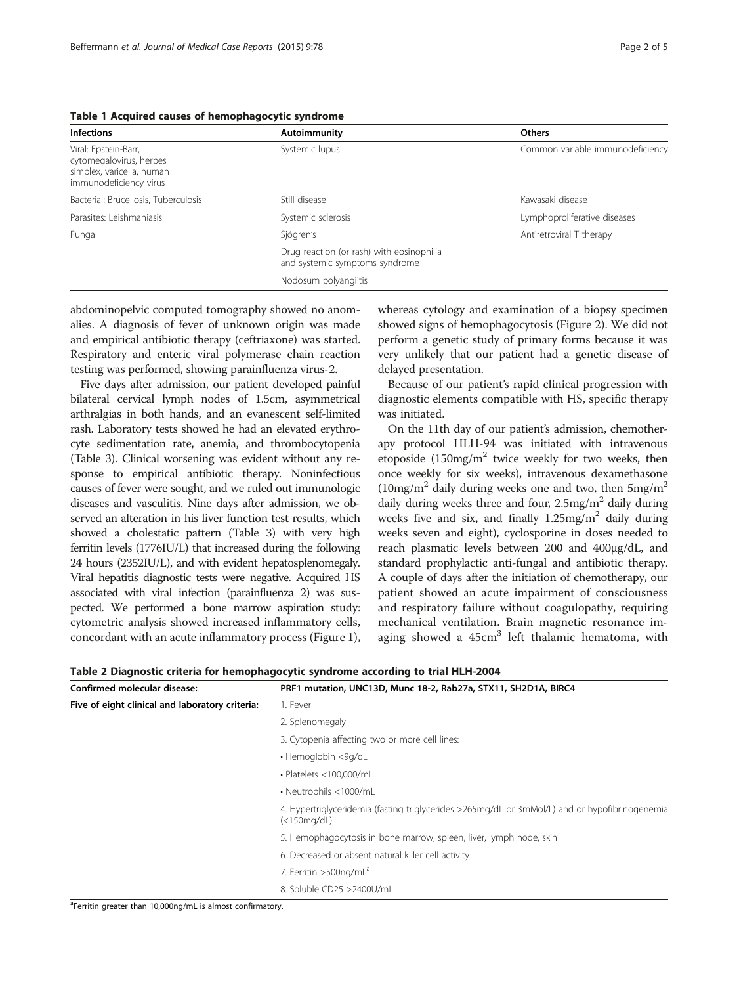<span id="page-1-0"></span>Table 1 Acquired causes of hemophagocytic syndrome

| <b>Infections</b>                                                                                      | Autoimmunity                                                                | <b>Others</b>                    |  |
|--------------------------------------------------------------------------------------------------------|-----------------------------------------------------------------------------|----------------------------------|--|
| Viral: Epstein-Barr,<br>cytomegalovirus, herpes<br>simplex, varicella, human<br>immunodeficiency virus | Systemic lupus                                                              | Common variable immunodeficiency |  |
| Bacterial: Brucellosis, Tuberculosis                                                                   | Still disease                                                               | Kawasaki disease                 |  |
| Parasites: Leishmaniasis                                                                               | Systemic sclerosis                                                          | Lymphoproliferative diseases     |  |
| Fungal                                                                                                 | Sjögren's                                                                   | Antiretroviral T therapy         |  |
|                                                                                                        | Drug reaction (or rash) with eosinophilia<br>and systemic symptoms syndrome |                                  |  |
|                                                                                                        | Nodosum polyangiitis                                                        |                                  |  |

abdominopelvic computed tomography showed no anomalies. A diagnosis of fever of unknown origin was made and empirical antibiotic therapy (ceftriaxone) was started. Respiratory and enteric viral polymerase chain reaction testing was performed, showing parainfluenza virus-2.

Five days after admission, our patient developed painful bilateral cervical lymph nodes of 1.5cm, asymmetrical arthralgias in both hands, and an evanescent self-limited rash. Laboratory tests showed he had an elevated erythrocyte sedimentation rate, anemia, and thrombocytopenia (Table [3\)](#page-2-0). Clinical worsening was evident without any response to empirical antibiotic therapy. Noninfectious causes of fever were sought, and we ruled out immunologic diseases and vasculitis. Nine days after admission, we observed an alteration in his liver function test results, which showed a cholestatic pattern (Table [3](#page-2-0)) with very high ferritin levels (1776IU/L) that increased during the following 24 hours (2352IU/L), and with evident hepatosplenomegaly. Viral hepatitis diagnostic tests were negative. Acquired HS associated with viral infection (parainfluenza 2) was suspected. We performed a bone marrow aspiration study: cytometric analysis showed increased inflammatory cells, concordant with an acute inflammatory process (Figure [1](#page-2-0)),

whereas cytology and examination of a biopsy specimen showed signs of hemophagocytosis (Figure [2](#page-3-0)). We did not perform a genetic study of primary forms because it was very unlikely that our patient had a genetic disease of delayed presentation.

Because of our patient's rapid clinical progression with diagnostic elements compatible with HS, specific therapy was initiated.

On the 11th day of our patient's admission, chemotherapy protocol HLH-94 was initiated with intravenous etoposide  $(150mg/m^2)$  twice weekly for two weeks, then once weekly for six weeks), intravenous dexamethasone  $(10\text{mg/m}^2)$  daily during weeks one and two, then  $5\text{mg/m}^2$ daily during weeks three and four,  $2.5$ mg/m<sup>2</sup> daily during weeks five and six, and finally  $1.25$ mg/m<sup>2</sup> daily during weeks seven and eight), cyclosporine in doses needed to reach plasmatic levels between 200 and 400μg/dL, and standard prophylactic anti-fungal and antibiotic therapy. A couple of days after the initiation of chemotherapy, our patient showed an acute impairment of consciousness and respiratory failure without coagulopathy, requiring mechanical ventilation. Brain magnetic resonance imaging showed a  $45cm<sup>3</sup>$  left thalamic hematoma, with

Table 2 Diagnostic criteria for hemophagocytic syndrome according to trial HLH-2004

| Confirmed molecular disease:                    | PRF1 mutation, UNC13D, Munc 18-2, Rab27a, STX11, SH2D1A, BIRC4                                                         |  |  |
|-------------------------------------------------|------------------------------------------------------------------------------------------------------------------------|--|--|
| Five of eight clinical and laboratory criteria: | 1. Fever                                                                                                               |  |  |
|                                                 | 2. Splenomegaly                                                                                                        |  |  |
|                                                 | 3. Cytopenia affecting two or more cell lines:                                                                         |  |  |
|                                                 | • Hemoglobin <9g/dL                                                                                                    |  |  |
|                                                 | $\cdot$ Platelets <100,000/mL                                                                                          |  |  |
|                                                 | • Neutrophils <1000/mL                                                                                                 |  |  |
|                                                 | 4. Hypertriglyceridemia (fasting triglycerides >265mg/dL or 3mMol/L) and or hypofibrinogenemia<br>$\left($ <150 mg/dL) |  |  |
|                                                 | 5. Hemophagocytosis in bone marrow, spleen, liver, lymph node, skin                                                    |  |  |
|                                                 | 6. Decreased or absent natural killer cell activity                                                                    |  |  |
|                                                 | 7. Ferritin >500ng/mL <sup>a</sup>                                                                                     |  |  |
|                                                 | 8. Soluble CD25 >2400U/mL                                                                                              |  |  |

<sup>a</sup>Ferritin greater than 10,000ng/mL is almost confirmatory.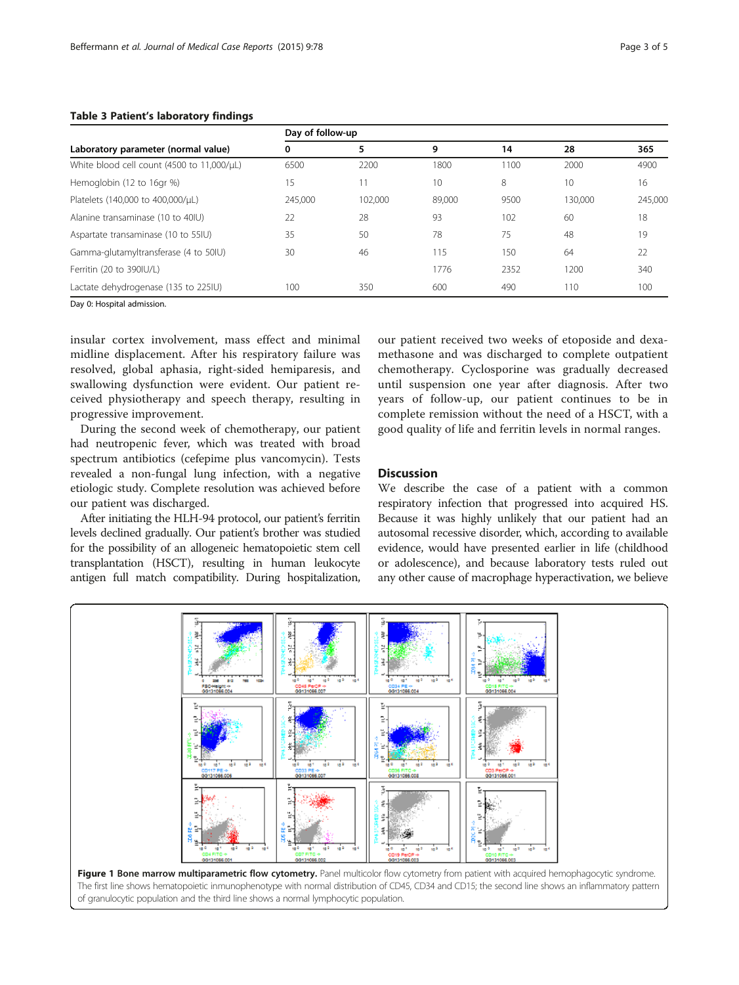|                                            | Day of follow-up |         |        |      |         |         |  |
|--------------------------------------------|------------------|---------|--------|------|---------|---------|--|
| Laboratory parameter (normal value)        | 0                | 5       | 9      | 14   | 28      | 365     |  |
| White blood cell count (4500 to 11,000/µL) | 6500             | 2200    | 1800   | 1100 | 2000    | 4900    |  |
| Hemoglobin (12 to 16gr %)                  | 15               | 11      | 10     | 8    | 10      | 16      |  |
| Platelets (140,000 to 400,000/µL)          | 245.000          | 102.000 | 89,000 | 9500 | 130.000 | 245.000 |  |
| Alanine transaminase (10 to 40IU)          | 22               | 28      | 93     | 102  | 60      | 18      |  |
| Aspartate transaminase (10 to 55IU)        | 35               | 50      | 78     | 75   | 48      | 19      |  |
| Gamma-glutamyltransferase (4 to 50IU)      | 30               | 46      | 115    | 150  | 64      | 22      |  |
| Ferritin (20 to 390IU/L)                   |                  |         | 1776   | 2352 | 1200    | 340     |  |
| Lactate dehydrogenase (135 to 225IU)       | 100              | 350     | 600    | 490  | 110     | 100     |  |

#### <span id="page-2-0"></span>Table 3 Patient's laboratory findings

Day 0: Hospital admission.

insular cortex involvement, mass effect and minimal midline displacement. After his respiratory failure was resolved, global aphasia, right-sided hemiparesis, and swallowing dysfunction were evident. Our patient received physiotherapy and speech therapy, resulting in progressive improvement.

During the second week of chemotherapy, our patient had neutropenic fever, which was treated with broad spectrum antibiotics (cefepime plus vancomycin). Tests revealed a non-fungal lung infection, with a negative etiologic study. Complete resolution was achieved before our patient was discharged.

After initiating the HLH-94 protocol, our patient's ferritin levels declined gradually. Our patient's brother was studied for the possibility of an allogeneic hematopoietic stem cell transplantation (HSCT), resulting in human leukocyte antigen full match compatibility. During hospitalization,

our patient received two weeks of etoposide and dexamethasone and was discharged to complete outpatient chemotherapy. Cyclosporine was gradually decreased until suspension one year after diagnosis. After two years of follow-up, our patient continues to be in complete remission without the need of a HSCT, with a good quality of life and ferritin levels in normal ranges.

### **Discussion**

We describe the case of a patient with a common respiratory infection that progressed into acquired HS. Because it was highly unlikely that our patient had an autosomal recessive disorder, which, according to available evidence, would have presented earlier in life (childhood or adolescence), and because laboratory tests ruled out any other cause of macrophage hyperactivation, we believe

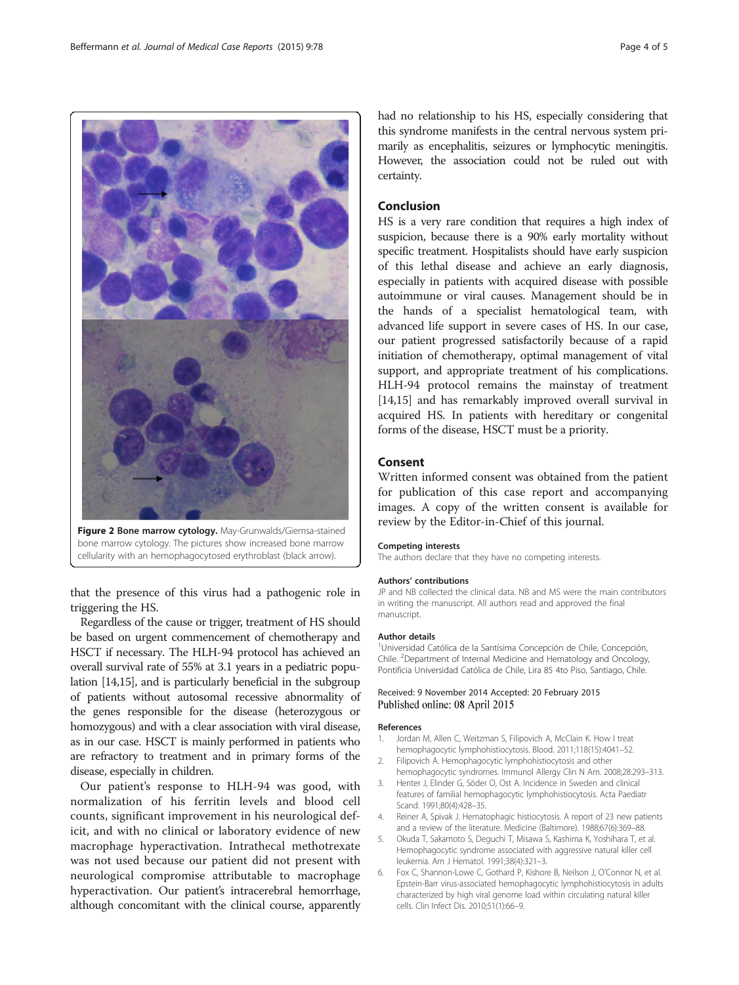that the presence of this virus had a pathogenic role in triggering the HS.

Regardless of the cause or trigger, treatment of HS should be based on urgent commencement of chemotherapy and HSCT if necessary. The HLH-94 protocol has achieved an overall survival rate of 55% at 3.1 years in a pediatric population [\[14,15\]](#page-4-0), and is particularly beneficial in the subgroup of patients without autosomal recessive abnormality of the genes responsible for the disease (heterozygous or homozygous) and with a clear association with viral disease, as in our case. HSCT is mainly performed in patients who are refractory to treatment and in primary forms of the disease, especially in children.

Our patient's response to HLH-94 was good, with normalization of his ferritin levels and blood cell counts, significant improvement in his neurological deficit, and with no clinical or laboratory evidence of new macrophage hyperactivation. Intrathecal methotrexate was not used because our patient did not present with neurological compromise attributable to macrophage hyperactivation. Our patient's intracerebral hemorrhage, although concomitant with the clinical course, apparently had no relationship to his HS, especially considering that this syndrome manifests in the central nervous system primarily as encephalitis, seizures or lymphocytic meningitis. However, the association could not be ruled out with certainty.

## Conclusion

HS is a very rare condition that requires a high index of suspicion, because there is a 90% early mortality without specific treatment. Hospitalists should have early suspicion of this lethal disease and achieve an early diagnosis, especially in patients with acquired disease with possible autoimmune or viral causes. Management should be in the hands of a specialist hematological team, with advanced life support in severe cases of HS. In our case, our patient progressed satisfactorily because of a rapid initiation of chemotherapy, optimal management of vital support, and appropriate treatment of his complications. HLH-94 protocol remains the mainstay of treatment [[14](#page-4-0),[15](#page-4-0)] and has remarkably improved overall survival in acquired HS. In patients with hereditary or congenital forms of the disease, HSCT must be a priority.

## Consent

Written informed consent was obtained from the patient for publication of this case report and accompanying images. A copy of the written consent is available for review by the Editor-in-Chief of this journal.

#### Competing interests

The authors declare that they have no competing interests.

#### Authors' contributions

JP and NB collected the clinical data. NB and MS were the main contributors in writing the manuscript. All authors read and approved the final manuscript.

#### Author details

<sup>1</sup>Universidad Católica de la Santísima Concepción de Chile, Concepción, Chile. <sup>2</sup>Department of Internal Medicine and Hematology and Oncology Pontificia Universidad Católica de Chile, Lira 85 4to Piso, Santiago, Chile.

#### Received: 9 November 2014 Accepted: 20 February 2015 Published online: 08 April 2015

#### References

- 1. Jordan M, Allen C, Weitzman S, Filipovich A, McClain K. How I treat hemophagocytic lymphohistiocytosis. Blood. 2011;118(15):4041–52.
- 2. Filipovich A. Hemophagocytic lymphohistiocytosis and other hemophagocytic syndromes. Immunol Allergy Clin N Am. 2008;28:293–313.
- 3. Henter J, Elinder G, Söder O, Ost A. Incidence in Sweden and clinical features of familial hemophagocytic lymphohistiocytosis. Acta Paediatr Scand. 1991;80(4):428–35.
- 4. Reiner A, Spivak J. Hematophagic histiocytosis. A report of 23 new patients and a review of the literature. Medicine (Baltimore). 1988;67(6):369–88.
- 5. Okuda T, Sakamoto S, Deguchi T, Misawa S, Kashima K, Yoshihara T, et al. Hemophagocytic syndrome associated with aggressive natural killer cell leukemia. Am J Hematol. 1991;38(4):321–3.
- 6. Fox C, Shannon-Lowe C, Gothard P, Kishore B, Neilson J, O'Connor N, et al. Epstein-Barr virus-associated hemophagocytic lymphohistiocytosis in adults characterized by high viral genome load within circulating natural killer cells. Clin Infect Dis. 2010;51(1):66–9.

Figure 2 Bone marrow cytology. May-Grunwalds/Giemsa-stained bone marrow cytology. The pictures show increased bone marrow

cellularity with an hemophagocytosed erythroblast (black arrow).

<span id="page-3-0"></span>